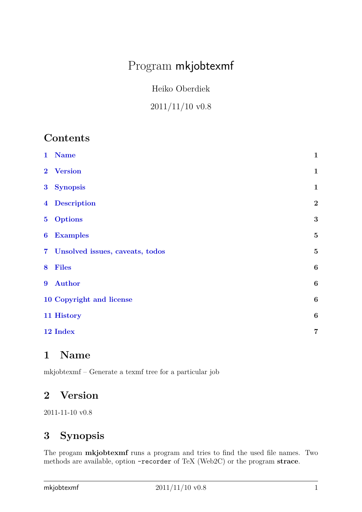# <span id="page-0-3"></span>Program mkjobtexmf

Heiko Oberdiek

## 2011/11/10 v0.8

## **Contents**

| $\mathbf{1}$     | <b>Name</b>                     | $\mathbf{1}$     |
|------------------|---------------------------------|------------------|
| $\mathbf{2}$     | <b>Version</b>                  | $\mathbf{1}$     |
| 3 <sup>1</sup>   | <b>Synopsis</b>                 | $\mathbf{1}$     |
| $\overline{4}$   | <b>Description</b>              | $\overline{2}$   |
| 5 <sup>5</sup>   | <b>Options</b>                  | 3                |
| $\boldsymbol{6}$ | <b>Examples</b>                 | $\overline{5}$   |
| 7 <sup>1</sup>   | Unsolved issues, caveats, todos | $\overline{5}$   |
| 8                | <b>Files</b>                    | $\boldsymbol{6}$ |
| $\boldsymbol{9}$ | <b>Author</b>                   | $\boldsymbol{6}$ |
|                  | 10 Copyright and license        | $\boldsymbol{6}$ |
|                  | 11 History                      | $\boldsymbol{6}$ |
|                  | 12 Index                        | $\overline{7}$   |

## <span id="page-0-0"></span>**1 Name**

mkjobtexmf – Generate a texmf tree for a particular job

## <span id="page-0-1"></span>**2 Version**

2011-11-10 v0.8

## <span id="page-0-2"></span>**3 Synopsis**

The progam **mkjobtexmf** runs a program and tries to find the used file names. Two methods are available, option -recorder of TeX (Web2C) or the program **strace**.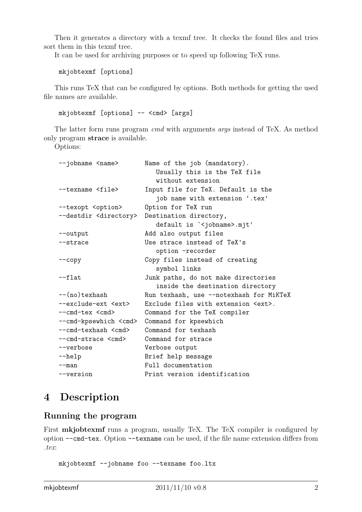<span id="page-1-1"></span>Then it generates a directory with a texmf tree. It checks the found files and tries sort them in this texmf tree.

It can be used for archiving purposes or to speed up following TeX runs.

mkjobtexmf [options]

This runs TeX that can be configured by options. Both methods for getting the used file names are available.

mkjobtexmf [options] -- <cmd> [args]

The latter form runs program *cmd* with arguments *args* instead of TeX. As method only program **strace** is available.

Options:

| --jobname <name></name>           | Name of the job (mandatory).              |
|-----------------------------------|-------------------------------------------|
|                                   | Usually this is the TeX file              |
|                                   | without extension                         |
| --texname <file></file>           | Input file for TeX. Default is the        |
|                                   | job name with extension '.tex'            |
| --texopt <option></option>        | Option for TeX run                        |
| --destdir <directory></directory> | Destination directory,                    |
|                                   | default is ' <jobname>.mjt'</jobname>     |
| --output                          | Add also output files                     |
| --strace                          | Use strace instead of TeX's               |
|                                   | option -recorder                          |
| $-$ copy                          | Copy files instead of creating            |
|                                   | symbol links                              |
| $-\text{-flat}$                   | Junk paths, do not make directories       |
|                                   | inside the destination directory          |
| $-$ (no)texhash                   | Run texhash, use --notexhash for MiKTeX   |
| --exclude-ext <ext></ext>         | Exclude files with extension <ext>.</ext> |
| --cmd-tex <cmd></cmd>             | Command for the TeX compiler              |
| --cmd-kpsewhich <cmd></cmd>       | Command for kpsewhich                     |
| --cmd-texhash <cmd></cmd>         | Command for texhash                       |
| --cmd-strace <cmd></cmd>          | Command for strace                        |
| --verbose                         | Verbose output                            |
| $-\text{help}$                    | Brief help message                        |
| $-$ man                           | Full documentation                        |
| --version                         | Print version identification              |

## <span id="page-1-0"></span>**4 Description**

### **Running the program**

First **mkjobtexmf** runs a program, usually TeX. The TeX compiler is configured by option --cmd-tex. Option --texname can be used, if the file name extension differs from *.tex*:

mkjobtexmf --jobname foo --texname foo.ltx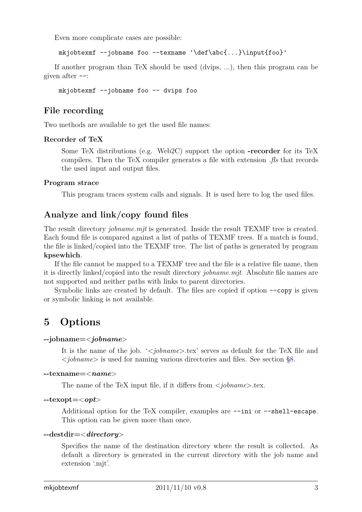<span id="page-2-1"></span>Even more complicate cases are possible:

mkjobtexmf --jobname foo --texname '\def\abc{...}\input{foo}'

If another program than TeX should be used (dvips, ...), then this program can be given after --:

mkjobtexmf --jobname foo -- dvips foo

### **File recording**

Two methods are available to get the used file names:

#### **Recorder of TeX**

Some TeX distributions (e.g. Web2C) support the option **-recorder** for its TeX compilers. Then the TeX compiler generates a file with extension *.fls* that records the used input and output files.

#### **Program strace**

This program traces system calls and signals. It is used here to log the used files.

### **Analyze and link/copy found files**

The result directory *jobname.mjt* is generated. Inside the result TEXMF tree is created. Each found file is compared against a list of paths of TEXMF trees. If a match is found, the file is linked/copied into the TEXMF tree. The list of paths is generated by program **kpsewhich**.

If the file cannot be mapped to a TEXMF tree and the file is a relative file name, then it is directly linked/copied into the result directory *jobname.mjt*. Absolute file names are not supported and neither paths with links to parent directories.

Symbolic links are created by default. The files are copied if option  $-\text{copy}$  is given or symbolic linking is not available.

## <span id="page-2-0"></span>**5 Options**

#### **--jobname=**<*jobname*>

It is the name of the job. '<*jobname*>.tex' serves as default for the TeX file and <*jobname*> is used for naming various directories and files. See section [§8.](#page-5-0)

#### **--texname=**<*name*>

The name of the TeX input file, if it differs from <*jobname*>.tex.

#### **--texopt=**<*opt*>

Additional option for the TeX compiler, examples are --ini or --shell-escape. This option can be given more than once.

#### **--destdir=**<*directory*>

Specifies the name of the destination directory where the result is collected. As default a directory is generated in the current directory with the job name and extension '.mjt'.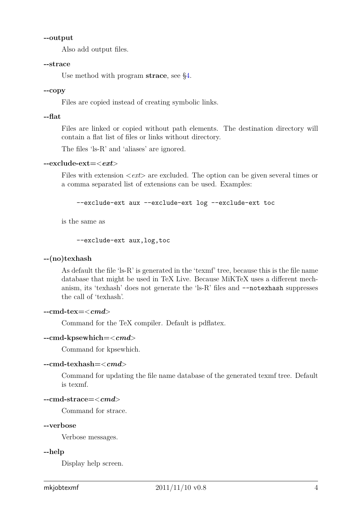#### **--output**

Also add output files.

#### **--strace**

Use method with program **strace**, see [§4.](#page-1-0)

#### **--copy**

Files are copied instead of creating symbolic links.

#### **--flat**

Files are linked or copied without path elements. The destination directory will contain a flat list of files or links without directory.

The files 'ls-R' and 'aliases' are ignored.

#### **--exclude-ext=**<*ext*>

Files with extension <*ext*> are excluded. The option can be given several times or a comma separated list of extensions can be used. Examples:

--exclude-ext aux --exclude-ext log --exclude-ext toc

is the same as

```
--exclude-ext aux,log,toc
```
#### **--(no)texhash**

As default the file 'ls-R' is generated in the 'texmf' tree, because this is the file name database that might be used in TeX Live. Because MiKTeX uses a different mechanism, its 'texhash' does not generate the 'ls-R' files and  $\neg$ -notexhash suppresses the call of 'texhash'.

#### **--cmd-tex=**<*cmd*>

Command for the TeX compiler. Default is pdflatex.

#### **--cmd-kpsewhich=**<*cmd*>

Command for kpsewhich.

#### **--cmd-texhash=**<*cmd*>

Command for updating the file name database of the generated texmf tree. Default is texmf.

```
--cmd-strace=<cmd>
```
Command for strace.

#### **--verbose**

Verbose messages.

#### **--help**

Display help screen.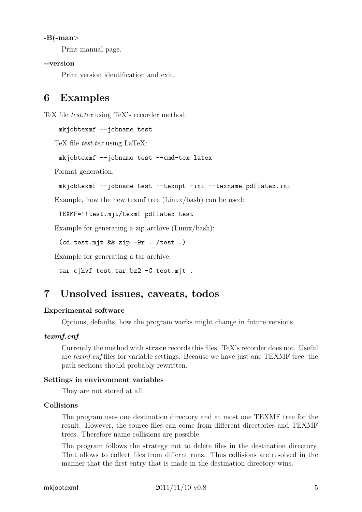#### <span id="page-4-2"></span>**-B(-man**>

Print manual page.

#### **--version**

Print version identification and exit.

## <span id="page-4-0"></span>**6 Examples**

TeX file *test.tex* using TeX's recorder method:

mkjobtexmf --jobname test

TeX file *test.tex* using LaTeX:

mkjobtexmf --jobname test --cmd-tex latex

Format generation:

```
mkjobtexmf --jobname test --texopt -ini --texname pdflatex.ini
```
Example, how the new texmf tree (Linux/bash) can be used:

TEXMF=!!test.mjt/texmf pdflatex test

Example for generating a zip archive (Linux/bash):

(cd test.mjt && zip -9r ../test .)

Example for generating a tar archive:

tar cjhvf test.tar.bz2 -C test.mjt .

## <span id="page-4-1"></span>**7 Unsolved issues, caveats, todos**

#### **Experimental software**

Options, defaults, how the program works might change in future versions.

#### *texmf.cnf*

Currently the method with **strace** records this files. TeX's recorder does not. Useful are *texmf.cnf* files for variable settings. Because we have just one TEXMF tree, the path sections should probably rewritten.

#### **Settings in environment variables**

They are not stored at all.

#### **Collisions**

The program uses one destination directory and at most one TEXMF tree for the result. However, the source files can come from different directories and TEXMF trees. Therefore name collisions are possible.

The program follows the strategy not to delete files in the destination directory. That allows to collect files from differnt runs. Thus collisions are resolved in the manner that the first entry that is made in the destination directory wins.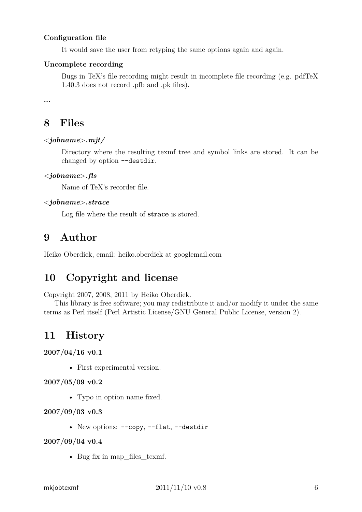#### <span id="page-5-4"></span>**Configuration file**

It would save the user from retyping the same options again and again.

#### **Uncomplete recording**

Bugs in TeX's file recording might result in incomplete file recording (e.g. pdfTeX 1.40.3 does not record .pfb and .pk files).

**...**

## <span id="page-5-0"></span>**8 Files**

#### <*jobname*>*.mjt/*

Directory where the resulting texmf tree and symbol links are stored. It can be changed by option --destdir.

#### <*jobname*>*.fls*

Name of TeX's recorder file.

#### <*jobname*>*.strace*

Log file where the result of **strace** is stored.

### <span id="page-5-1"></span>**9 Author**

Heiko Oberdiek, email: heiko.oberdiek at googlemail.com

## <span id="page-5-2"></span>**10 Copyright and license**

Copyright 2007, 2008, 2011 by Heiko Oberdiek.

This library is free software; you may redistribute it and/or modify it under the same terms as Perl itself (Perl Artistic License/GNU General Public License, version 2).

### <span id="page-5-3"></span>**11 History**

**2007/04/16 v0.1**

• First experimental version.

**2007/05/09 v0.2**

• Typo in option name fixed.

**2007/09/03 v0.3**

• New options: --copy, --flat, --destdir

**2007/09/04 v0.4**

• Bug fix in map files texmf.